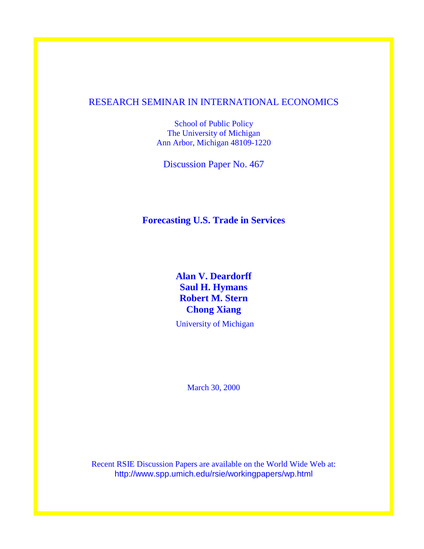### RESEARCH SEMINAR IN INTERNATIONAL ECONOMICS

School of Public Policy The University of Michigan Ann Arbor, Michigan 48109-1220

Discussion Paper No. 467

### **Forecasting U.S. Trade in Services**

**Alan V. Deardorff Saul H. Hymans Robert M. Stern Chong Xiang** 

University of Michigan

March 30, 2000

Recent RSIE Discussion Papers are available on the World Wide Web at: http://www.spp.umich.edu/rsie/workingpapers/wp.html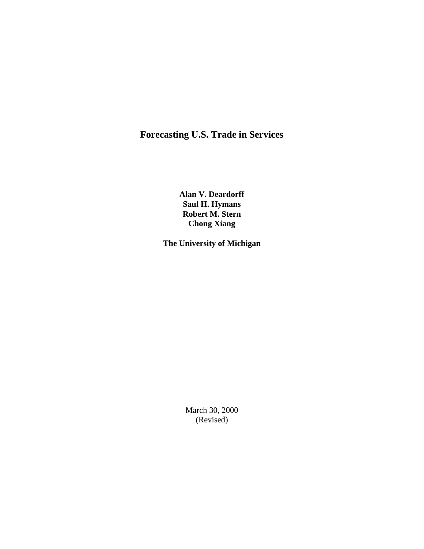## **Forecasting U.S. Trade in Services**

**Alan V. Deardorff Saul H. Hymans Robert M. Stern Chong Xiang** 

**The University of Michigan** 

March 30, 2000 (Revised)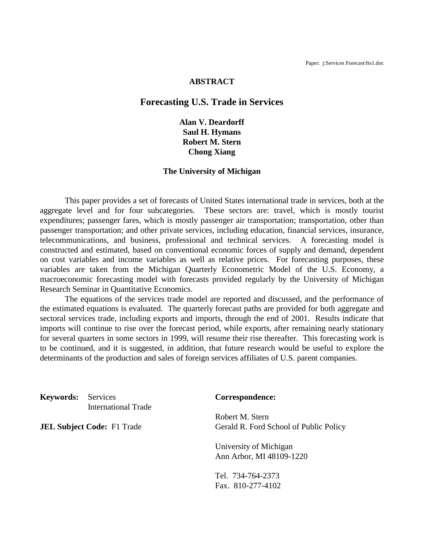#### **ABSTRACT**

#### **Forecasting U.S. Trade in Services**

#### **Alan V. Deardorff Saul H. Hymans Robert M. Stern Chong Xiang**

#### **The University of Michigan**

 This paper provides a set of forecasts of United States international trade in services, both at the aggregate level and for four subcategories. These sectors are: travel, which is mostly tourist expenditures; passenger fares, which is mostly passenger air transportation; transportation, other than passenger transportation; and other private services, including education, financial services, insurance, telecommunications, and business, professional and technical services. A forecasting model is constructed and estimated, based on conventional economic forces of supply and demand, dependent on cost variables and income variables as well as relative prices. For forecasting purposes, these variables are taken from the Michigan Quarterly Econometric Model of the U.S. Economy, a macroeconomic forecasting model with forecasts provided regularly by the University of Michigan Research Seminar in Quantitative Economics.

The equations of the services trade model are reported and discussed, and the performance of the estimated equations is evaluated. The quarterly forecast paths are provided for both aggregate and sectoral services trade, including exports and imports, through the end of 2001. Results indicate that imports will continue to rise over the forecast period, while exports, after remaining nearly stationary for several quarters in some sectors in 1999, will resume their rise thereafter. This forecasting work is to be continued, and it is suggested, in addition, that future research would be useful to explore the determinants of the production and sales of foreign services affiliates of U.S. parent companies.

**Keywords:** Services **Correspondence:** International Trade

 Robert M. Stern **JEL Subject Code:** F1 Trade Gerald R. Ford School of Public Policy

> University of Michigan Ann Arbor, MI 48109-1220

 Tel. 734-764-2373 Fax. 810-277-4102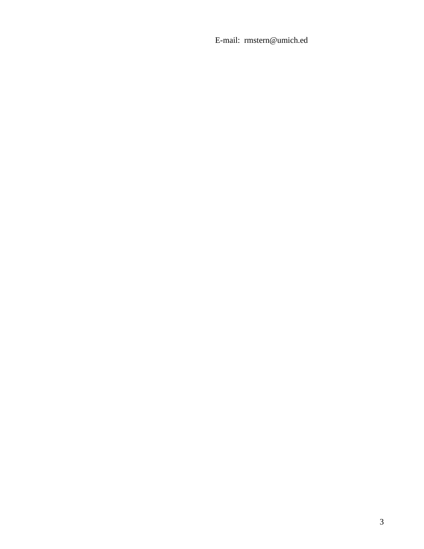E-mail: rmstern@umich.ed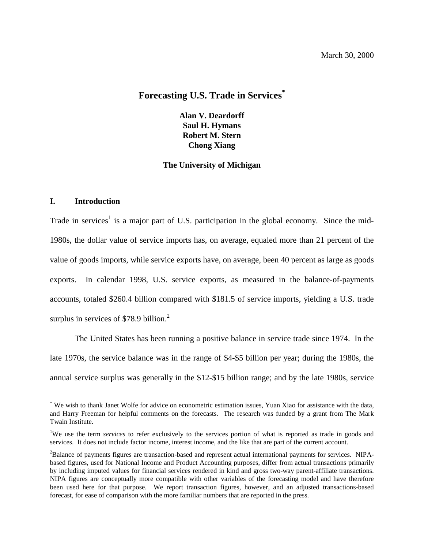#### March 30, 2000

### **Forecasting U.S. Trade in Services\***

**Alan V. Deardorff Saul H. Hymans Robert M. Stern Chong Xiang** 

#### **The University of Michigan**

#### **I. Introduction**

Trade in services<sup>1</sup> is a major part of U.S. participation in the global economy. Since the mid-1980s, the dollar value of service imports has, on average, equaled more than 21 percent of the value of goods imports, while service exports have, on average, been 40 percent as large as goods exports. In calendar 1998, U.S. service exports, as measured in the balance-of-payments accounts, totaled \$260.4 billion compared with \$181.5 of service imports, yielding a U.S. trade surplus in services of  $$78.9$  billion.<sup>2</sup>

The United States has been running a positive balance in service trade since 1974. In the late 1970s, the service balance was in the range of \$4-\$5 billion per year; during the 1980s, the annual service surplus was generally in the \$12-\$15 billion range; and by the late 1980s, service

<sup>\*</sup> We wish to thank Janet Wolfe for advice on econometric estimation issues, Yuan Xiao for assistance with the data, and Harry Freeman for helpful comments on the forecasts. The research was funded by a grant from The Mark Twain Institute.

<sup>&</sup>lt;sup>1</sup>We use the term *services* to refer exclusively to the services portion of what is reported as trade in goods and services. It does not include factor income, interest income, and the like that are part of the current account.

<sup>&</sup>lt;sup>2</sup>Balance of payments figures are transaction-based and represent actual international payments for services. NIPAbased figures, used for National Income and Product Accounting purposes, differ from actual transactions primarily by including imputed values for financial services rendered in kind and gross two-way parent-affiliate transactions. NIPA figures are conceptually more compatible with other variables of the forecasting model and have therefore been used here for that purpose. We report transaction figures, however, and an adjusted transactions-based forecast, for ease of comparison with the more familiar numbers that are reported in the press.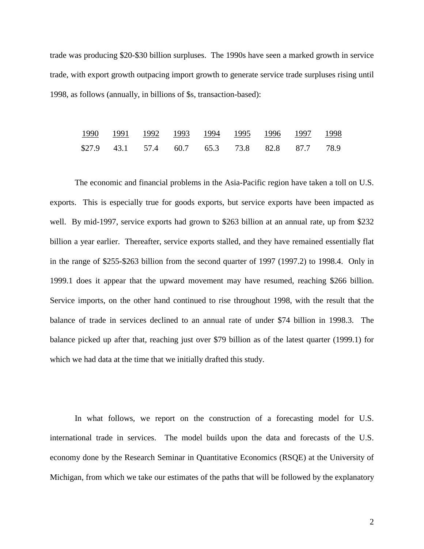trade was producing \$20-\$30 billion surpluses. The 1990s have seen a marked growth in service trade, with export growth outpacing import growth to generate service trade surpluses rising until 1998, as follows (annually, in billions of \$s, transaction-based):

|  | <u>1990 1991 1992 1993 1994 1995 1996 1997 1998</u> |  |  |  |
|--|-----------------------------------------------------|--|--|--|
|  | \$27.9 43.1 57.4 60.7 65.3 73.8 82.8 87.7 78.9      |  |  |  |

The economic and financial problems in the Asia-Pacific region have taken a toll on U.S. exports. This is especially true for goods exports, but service exports have been impacted as well. By mid-1997, service exports had grown to \$263 billion at an annual rate, up from \$232 billion a year earlier. Thereafter, service exports stalled, and they have remained essentially flat in the range of \$255-\$263 billion from the second quarter of 1997 (1997.2) to 1998.4. Only in 1999.1 does it appear that the upward movement may have resumed, reaching \$266 billion. Service imports, on the other hand continued to rise throughout 1998, with the result that the balance of trade in services declined to an annual rate of under \$74 billion in 1998.3. The balance picked up after that, reaching just over \$79 billion as of the latest quarter (1999.1) for which we had data at the time that we initially drafted this study.

 In what follows, we report on the construction of a forecasting model for U.S. international trade in services. The model builds upon the data and forecasts of the U.S. economy done by the Research Seminar in Quantitative Economics (RSQE) at the University of Michigan, from which we take our estimates of the paths that will be followed by the explanatory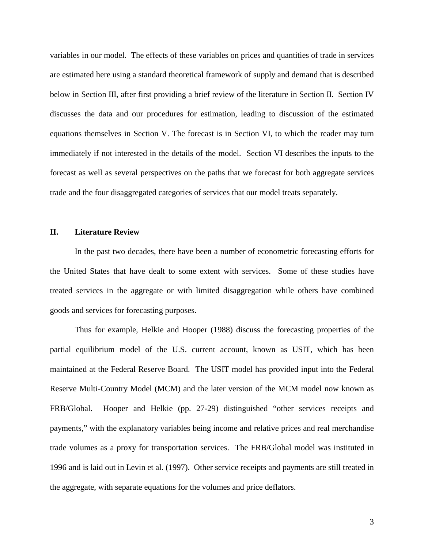variables in our model. The effects of these variables on prices and quantities of trade in services are estimated here using a standard theoretical framework of supply and demand that is described below in Section III, after first providing a brief review of the literature in Section II. Section IV discusses the data and our procedures for estimation, leading to discussion of the estimated equations themselves in Section V. The forecast is in Section VI, to which the reader may turn immediately if not interested in the details of the model. Section VI describes the inputs to the forecast as well as several perspectives on the paths that we forecast for both aggregate services trade and the four disaggregated categories of services that our model treats separately.

#### **II. Literature Review**

 In the past two decades, there have been a number of econometric forecasting efforts for the United States that have dealt to some extent with services. Some of these studies have treated services in the aggregate or with limited disaggregation while others have combined goods and services for forecasting purposes.

 Thus for example, Helkie and Hooper (1988) discuss the forecasting properties of the partial equilibrium model of the U.S. current account, known as USIT, which has been maintained at the Federal Reserve Board. The USIT model has provided input into the Federal Reserve Multi-Country Model (MCM) and the later version of the MCM model now known as FRB/Global. Hooper and Helkie (pp. 27-29) distinguished "other services receipts and payments," with the explanatory variables being income and relative prices and real merchandise trade volumes as a proxy for transportation services. The FRB/Global model was instituted in 1996 and is laid out in Levin et al. (1997). Other service receipts and payments are still treated in the aggregate, with separate equations for the volumes and price deflators.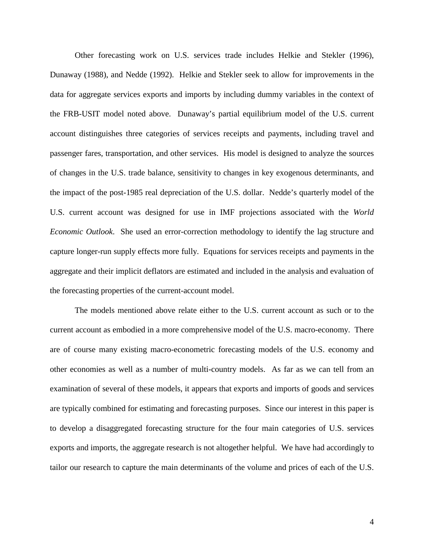Other forecasting work on U.S. services trade includes Helkie and Stekler (1996), Dunaway (1988), and Nedde (1992). Helkie and Stekler seek to allow for improvements in the data for aggregate services exports and imports by including dummy variables in the context of the FRB-USIT model noted above. Dunaway's partial equilibrium model of the U.S. current account distinguishes three categories of services receipts and payments, including travel and passenger fares, transportation, and other services. His model is designed to analyze the sources of changes in the U.S. trade balance, sensitivity to changes in key exogenous determinants, and the impact of the post-1985 real depreciation of the U.S. dollar. Nedde's quarterly model of the U.S. current account was designed for use in IMF projections associated with the *World Economic Outlook*. She used an error-correction methodology to identify the lag structure and capture longer-run supply effects more fully. Equations for services receipts and payments in the aggregate and their implicit deflators are estimated and included in the analysis and evaluation of the forecasting properties of the current-account model.

 The models mentioned above relate either to the U.S. current account as such or to the current account as embodied in a more comprehensive model of the U.S. macro-economy. There are of course many existing macro-econometric forecasting models of the U.S. economy and other economies as well as a number of multi-country models. As far as we can tell from an examination of several of these models, it appears that exports and imports of goods and services are typically combined for estimating and forecasting purposes. Since our interest in this paper is to develop a disaggregated forecasting structure for the four main categories of U.S. services exports and imports, the aggregate research is not altogether helpful. We have had accordingly to tailor our research to capture the main determinants of the volume and prices of each of the U.S.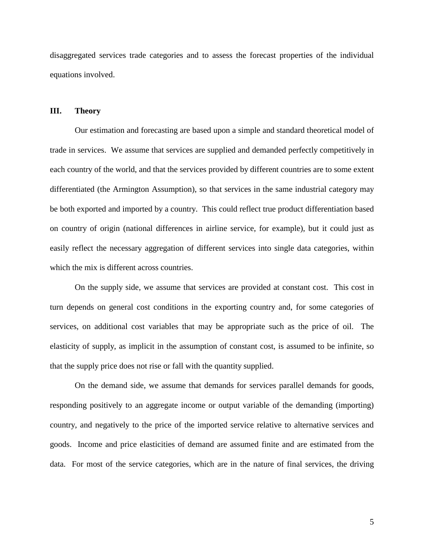disaggregated services trade categories and to assess the forecast properties of the individual equations involved.

#### **III. Theory**

Our estimation and forecasting are based upon a simple and standard theoretical model of trade in services. We assume that services are supplied and demanded perfectly competitively in each country of the world, and that the services provided by different countries are to some extent differentiated (the Armington Assumption), so that services in the same industrial category may be both exported and imported by a country. This could reflect true product differentiation based on country of origin (national differences in airline service, for example), but it could just as easily reflect the necessary aggregation of different services into single data categories, within which the mix is different across countries.

 On the supply side, we assume that services are provided at constant cost. This cost in turn depends on general cost conditions in the exporting country and, for some categories of services, on additional cost variables that may be appropriate such as the price of oil. The elasticity of supply, as implicit in the assumption of constant cost, is assumed to be infinite, so that the supply price does not rise or fall with the quantity supplied.

 On the demand side, we assume that demands for services parallel demands for goods, responding positively to an aggregate income or output variable of the demanding (importing) country, and negatively to the price of the imported service relative to alternative services and goods. Income and price elasticities of demand are assumed finite and are estimated from the data. For most of the service categories, which are in the nature of final services, the driving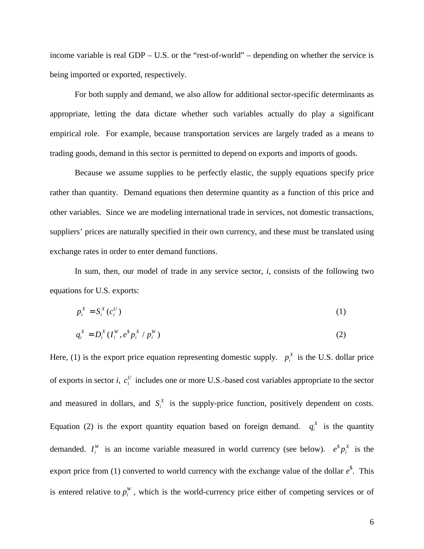income variable is real GDP – U.S. or the "rest-of-world" – depending on whether the service is being imported or exported, respectively.

 For both supply and demand, we also allow for additional sector-specific determinants as appropriate, letting the data dictate whether such variables actually do play a significant empirical role. For example, because transportation services are largely traded as a means to trading goods, demand in this sector is permitted to depend on exports and imports of goods.

 Because we assume supplies to be perfectly elastic, the supply equations specify price rather than quantity. Demand equations then determine quantity as a function of this price and other variables. Since we are modeling international trade in services, not domestic transactions, suppliers' prices are naturally specified in their own currency, and these must be translated using exchange rates in order to enter demand functions.

 In sum, then, our model of trade in any service sector, *i*, consists of the following two equations for U.S. exports:

$$
p_i^X = S_i^X(c_i^U) \tag{1}
$$

$$
q_i^X = D_i^X (I_i^W, e^s p_i^X / p_i^W)
$$
 (2)

Here, (1) is the export price equation representing domestic supply.  $p_i^X$  is the U.S. dollar price of exports in sector *i*,  $c_i^U$  includes one or more U.S.-based cost variables appropriate to the sector and measured in dollars, and  $S_i^X$  is the supply-price function, positively dependent on costs. Equation (2) is the export quantity equation based on foreign demand.  $q_i^X$  is the quantity demanded.  $I_i^W$  is an income variable measured in world currency (see below).  $e^s p_i^X$  is the export price from (1) converted to world currency with the exchange value of the dollar  $e^{\$}$ . This is entered relative to  $p_i^W$ , which is the world-currency price either of competing services or of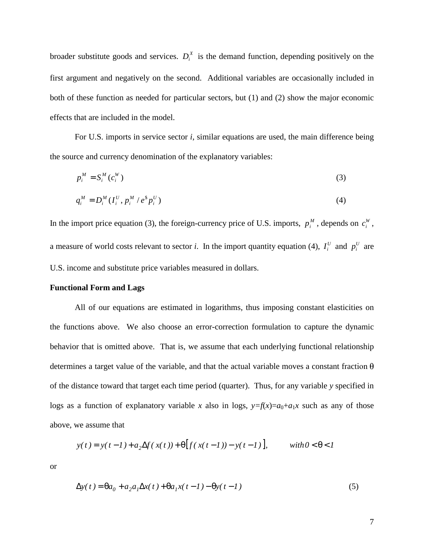broader substitute goods and services.  $D_i^X$  is the demand function, depending positively on the first argument and negatively on the second. Additional variables are occasionally included in both of these function as needed for particular sectors, but (1) and (2) show the major economic effects that are included in the model.

 For U.S. imports in service sector *i*, similar equations are used, the main difference being the source and currency denomination of the explanatory variables:

$$
p_i^M = S_i^M(c_i^W) \tag{3}
$$

$$
q_i^M = D_i^M (I_i^U, p_i^M / e^{\$} p_i^U)
$$
 (4)

In the import price equation (3), the foreign-currency price of U.S. imports,  $p_i^M$ , depends on  $c_i^W$ , a measure of world costs relevant to sector *i*. In the import quantity equation (4),  $I_i^U$  and  $p_i^U$  are U.S. income and substitute price variables measured in dollars.

#### **Functional Form and Lags**

 All of our equations are estimated in logarithms, thus imposing constant elasticities on the functions above. We also choose an error-correction formulation to capture the dynamic behavior that is omitted above. That is, we assume that each underlying functional relationship determines a target value of the variable, and that the actual variable moves a constant fraction of the distance toward that target each time period (quarter). Thus, for any variable *y* specified in logs as a function of explanatory variable *x* also in logs,  $y=f(x)=a_0+a_1x$  such as any of those above, we assume that

$$
y(t) = y(t-1) + a_2 \Delta f(x(t)) + \Theta[f(x(t-1)) - y(t-1)], \quad \text{with } 0 < \Theta < 1
$$

or

$$
\Delta y(t) = \theta a_0 + a_2 a_1 \Delta x(t) + \theta a_1 x(t-1) - \theta y(t-1)
$$
\n(5)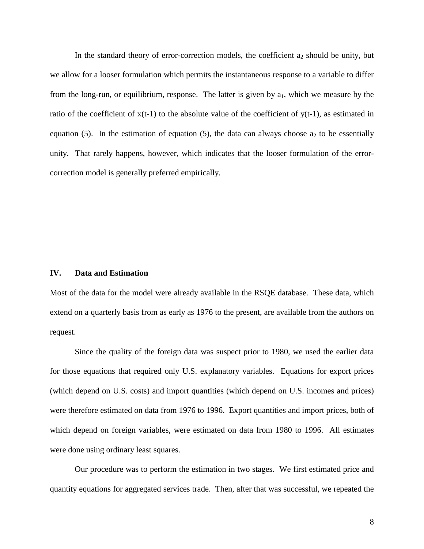In the standard theory of error-correction models, the coefficient  $a_2$  should be unity, but we allow for a looser formulation which permits the instantaneous response to a variable to differ from the long-run, or equilibrium, response. The latter is given by  $a_1$ , which we measure by the ratio of the coefficient of  $x(t-1)$  to the absolute value of the coefficient of  $y(t-1)$ , as estimated in equation (5). In the estimation of equation (5), the data can always choose  $a_2$  to be essentially unity. That rarely happens, however, which indicates that the looser formulation of the errorcorrection model is generally preferred empirically.

#### **IV. Data and Estimation**

Most of the data for the model were already available in the RSQE database. These data, which extend on a quarterly basis from as early as 1976 to the present, are available from the authors on request.

 Since the quality of the foreign data was suspect prior to 1980, we used the earlier data for those equations that required only U.S. explanatory variables. Equations for export prices (which depend on U.S. costs) and import quantities (which depend on U.S. incomes and prices) were therefore estimated on data from 1976 to 1996. Export quantities and import prices, both of which depend on foreign variables, were estimated on data from 1980 to 1996. All estimates were done using ordinary least squares.

 Our procedure was to perform the estimation in two stages. We first estimated price and quantity equations for aggregated services trade. Then, after that was successful, we repeated the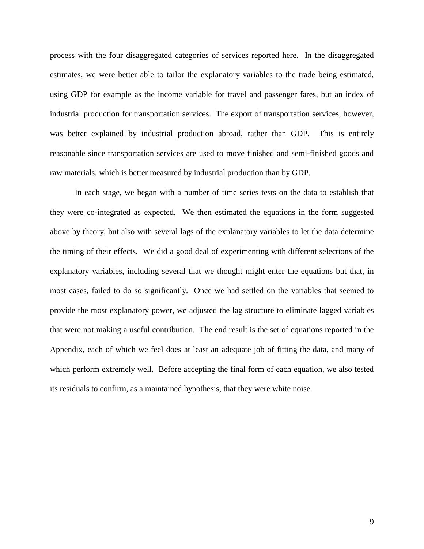process with the four disaggregated categories of services reported here. In the disaggregated estimates, we were better able to tailor the explanatory variables to the trade being estimated, using GDP for example as the income variable for travel and passenger fares, but an index of industrial production for transportation services. The export of transportation services, however, was better explained by industrial production abroad, rather than GDP. This is entirely reasonable since transportation services are used to move finished and semi-finished goods and raw materials, which is better measured by industrial production than by GDP.

 In each stage, we began with a number of time series tests on the data to establish that they were co-integrated as expected. We then estimated the equations in the form suggested above by theory, but also with several lags of the explanatory variables to let the data determine the timing of their effects. We did a good deal of experimenting with different selections of the explanatory variables, including several that we thought might enter the equations but that, in most cases, failed to do so significantly. Once we had settled on the variables that seemed to provide the most explanatory power, we adjusted the lag structure to eliminate lagged variables that were not making a useful contribution. The end result is the set of equations reported in the Appendix, each of which we feel does at least an adequate job of fitting the data, and many of which perform extremely well. Before accepting the final form of each equation, we also tested its residuals to confirm, as a maintained hypothesis, that they were white noise.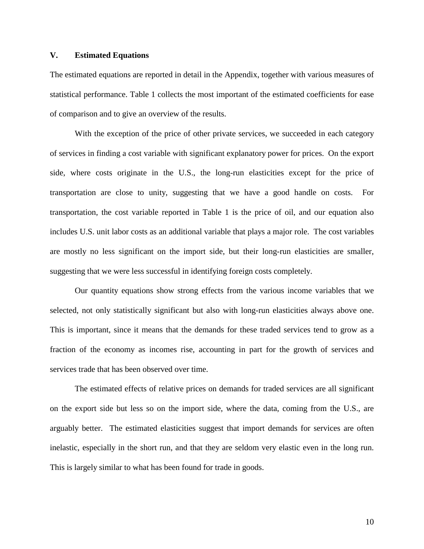#### **V. Estimated Equations**

The estimated equations are reported in detail in the Appendix, together with various measures of statistical performance. Table 1 collects the most important of the estimated coefficients for ease of comparison and to give an overview of the results.

With the exception of the price of other private services, we succeeded in each category of services in finding a cost variable with significant explanatory power for prices. On the export side, where costs originate in the U.S., the long-run elasticities except for the price of transportation are close to unity, suggesting that we have a good handle on costs. For transportation, the cost variable reported in Table 1 is the price of oil, and our equation also includes U.S. unit labor costs as an additional variable that plays a major role. The cost variables are mostly no less significant on the import side, but their long-run elasticities are smaller, suggesting that we were less successful in identifying foreign costs completely.

 Our quantity equations show strong effects from the various income variables that we selected, not only statistically significant but also with long-run elasticities always above one. This is important, since it means that the demands for these traded services tend to grow as a fraction of the economy as incomes rise, accounting in part for the growth of services and services trade that has been observed over time.

 The estimated effects of relative prices on demands for traded services are all significant on the export side but less so on the import side, where the data, coming from the U.S., are arguably better. The estimated elasticities suggest that import demands for services are often inelastic, especially in the short run, and that they are seldom very elastic even in the long run. This is largely similar to what has been found for trade in goods.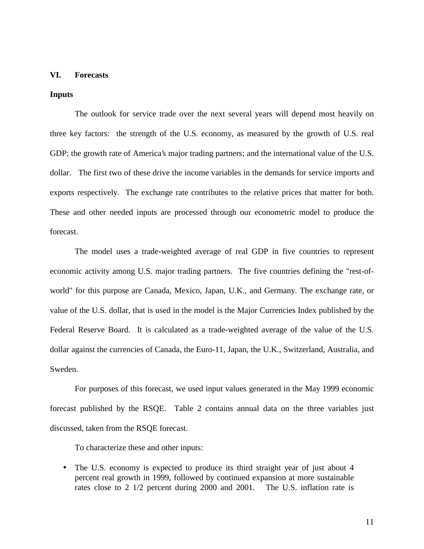#### **VI. Forecasts**

#### **Inputs**

The outlook for service trade over the next several years will depend most heavily on three key factors: the strength of the U.S. economy, as measured by the growth of U.S. real GDP; the growth rate of America's major trading partners; and the international value of the U.S. dollar. The first two of these drive the income variables in the demands for service imports and exports respectively. The exchange rate contributes to the relative prices that matter for both. These and other needed inputs are processed through our econometric model to produce the forecast.

The model uses a trade-weighted average of real GDP in five countries to represent economic activity among U.S. major trading partners. The five countries defining the "rest-ofworld" for this purpose are Canada, Mexico, Japan, U.K., and Germany. The exchange rate, or value of the U.S. dollar, that is used in the model is the Major Currencies Index published by the Federal Reserve Board. It is calculated as a trade-weighted average of the value of the U.S. dollar against the currencies of Canada, the Euro-11, Japan, the U.K., Switzerland, Australia, and Sweden.

For purposes of this forecast, we used input values generated in the May 1999 economic forecast published by the RSQE. Table 2 contains annual data on the three variables just discussed, taken from the RSQE forecast.

To characterize these and other inputs:

• The U.S. economy is expected to produce its third straight year of just about 4 percent real growth in 1999, followed by continued expansion at more sustainable rates close to 2 1/2 percent during 2000 and 2001. The U.S. inflation rate is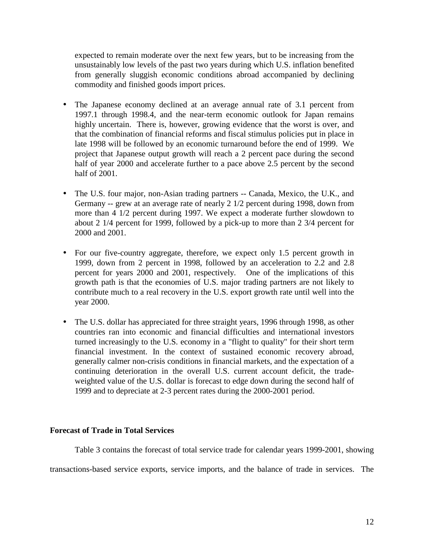expected to remain moderate over the next few years, but to be increasing from the unsustainably low levels of the past two years during which U.S. inflation benefited from generally sluggish economic conditions abroad accompanied by declining commodity and finished goods import prices.

- The Japanese economy declined at an average annual rate of 3.1 percent from 1997.1 through 1998.4, and the near-term economic outlook for Japan remains highly uncertain. There is, however, growing evidence that the worst is over, and that the combination of financial reforms and fiscal stimulus policies put in place in late 1998 will be followed by an economic turnaround before the end of 1999. We project that Japanese output growth will reach a 2 percent pace during the second half of year 2000 and accelerate further to a pace above 2.5 percent by the second half of 2001.
- The U.S. four major, non-Asian trading partners -- Canada, Mexico, the U.K., and Germany -- grew at an average rate of nearly 2 1/2 percent during 1998, down from more than 4 1/2 percent during 1997. We expect a moderate further slowdown to about 2 1/4 percent for 1999, followed by a pick-up to more than 2 3/4 percent for 2000 and 2001.
- For our five-country aggregate, therefore, we expect only 1.5 percent growth in 1999, down from 2 percent in 1998, followed by an acceleration to 2.2 and 2.8 percent for years 2000 and 2001, respectively. One of the implications of this growth path is that the economies of U.S. major trading partners are not likely to contribute much to a real recovery in the U.S. export growth rate until well into the year 2000.
- The U.S. dollar has appreciated for three straight years, 1996 through 1998, as other countries ran into economic and financial difficulties and international investors turned increasingly to the U.S. economy in a "flight to quality" for their short term financial investment. In the context of sustained economic recovery abroad, generally calmer non-crisis conditions in financial markets, and the expectation of a continuing deterioration in the overall U.S. current account deficit, the tradeweighted value of the U.S. dollar is forecast to edge down during the second half of 1999 and to depreciate at 2-3 percent rates during the 2000-2001 period.

#### **Forecast of Trade in Total Services**

Table 3 contains the forecast of total service trade for calendar years 1999-2001, showing

transactions-based service exports, service imports, and the balance of trade in services. The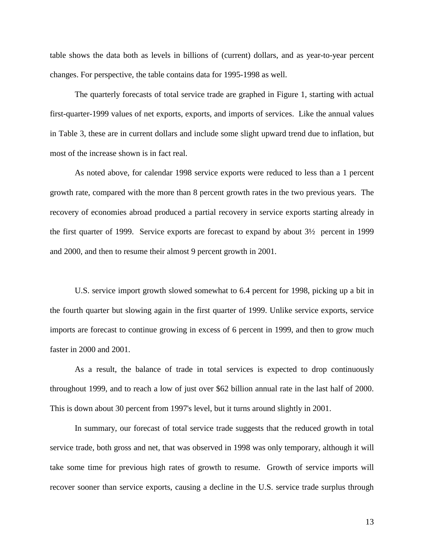table shows the data both as levels in billions of (current) dollars, and as year-to-year percent changes. For perspective, the table contains data for 1995-1998 as well.

The quarterly forecasts of total service trade are graphed in Figure 1, starting with actual first-quarter-1999 values of net exports, exports, and imports of services. Like the annual values in Table 3, these are in current dollars and include some slight upward trend due to inflation, but most of the increase shown is in fact real.

As noted above, for calendar 1998 service exports were reduced to less than a 1 percent growth rate, compared with the more than 8 percent growth rates in the two previous years. The recovery of economies abroad produced a partial recovery in service exports starting already in the first quarter of 1999. Service exports are forecast to expand by about 3½ percent in 1999 and 2000, and then to resume their almost 9 percent growth in 2001.

U.S. service import growth slowed somewhat to 6.4 percent for 1998, picking up a bit in the fourth quarter but slowing again in the first quarter of 1999. Unlike service exports, service imports are forecast to continue growing in excess of 6 percent in 1999, and then to grow much faster in 2000 and 2001.

As a result, the balance of trade in total services is expected to drop continuously throughout 1999, and to reach a low of just over \$62 billion annual rate in the last half of 2000. This is down about 30 percent from 1997's level, but it turns around slightly in 2001.

In summary, our forecast of total service trade suggests that the reduced growth in total service trade, both gross and net, that was observed in 1998 was only temporary, although it will take some time for previous high rates of growth to resume. Growth of service imports will recover sooner than service exports, causing a decline in the U.S. service trade surplus through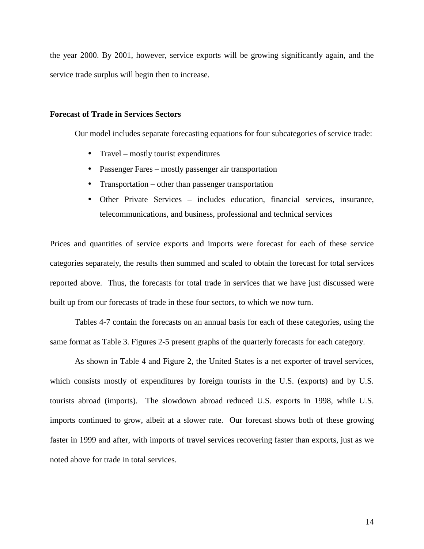the year 2000. By 2001, however, service exports will be growing significantly again, and the service trade surplus will begin then to increase.

#### **Forecast of Trade in Services Sectors**

Our model includes separate forecasting equations for four subcategories of service trade:

- Travel mostly tourist expenditures
- Passenger Fares mostly passenger air transportation
- Transportation other than passenger transportation
- Other Private Services includes education, financial services, insurance, telecommunications, and business, professional and technical services

Prices and quantities of service exports and imports were forecast for each of these service categories separately, the results then summed and scaled to obtain the forecast for total services reported above. Thus, the forecasts for total trade in services that we have just discussed were built up from our forecasts of trade in these four sectors, to which we now turn.

Tables 4-7 contain the forecasts on an annual basis for each of these categories, using the same format as Table 3. Figures 2-5 present graphs of the quarterly forecasts for each category.

As shown in Table 4 and Figure 2, the United States is a net exporter of travel services, which consists mostly of expenditures by foreign tourists in the U.S. (exports) and by U.S. tourists abroad (imports). The slowdown abroad reduced U.S. exports in 1998, while U.S. imports continued to grow, albeit at a slower rate. Our forecast shows both of these growing faster in 1999 and after, with imports of travel services recovering faster than exports, just as we noted above for trade in total services.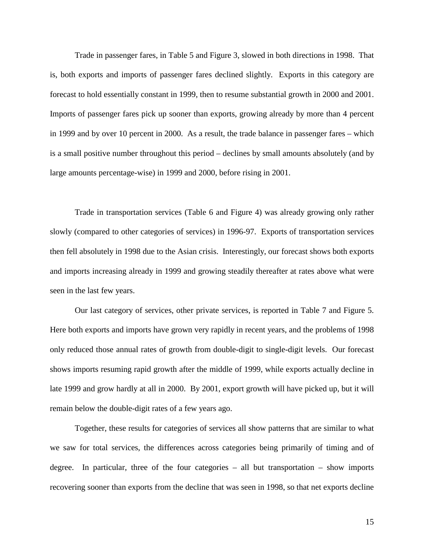Trade in passenger fares, in Table 5 and Figure 3, slowed in both directions in 1998. That is, both exports and imports of passenger fares declined slightly. Exports in this category are forecast to hold essentially constant in 1999, then to resume substantial growth in 2000 and 2001. Imports of passenger fares pick up sooner than exports, growing already by more than 4 percent in 1999 and by over 10 percent in 2000. As a result, the trade balance in passenger fares – which is a small positive number throughout this period – declines by small amounts absolutely (and by large amounts percentage-wise) in 1999 and 2000, before rising in 2001.

Trade in transportation services (Table 6 and Figure 4) was already growing only rather slowly (compared to other categories of services) in 1996-97. Exports of transportation services then fell absolutely in 1998 due to the Asian crisis. Interestingly, our forecast shows both exports and imports increasing already in 1999 and growing steadily thereafter at rates above what were seen in the last few years.

Our last category of services, other private services, is reported in Table 7 and Figure 5. Here both exports and imports have grown very rapidly in recent years, and the problems of 1998 only reduced those annual rates of growth from double-digit to single-digit levels. Our forecast shows imports resuming rapid growth after the middle of 1999, while exports actually decline in late 1999 and grow hardly at all in 2000. By 2001, export growth will have picked up, but it will remain below the double-digit rates of a few years ago.

Together, these results for categories of services all show patterns that are similar to what we saw for total services, the differences across categories being primarily of timing and of degree. In particular, three of the four categories – all but transportation – show imports recovering sooner than exports from the decline that was seen in 1998, so that net exports decline

15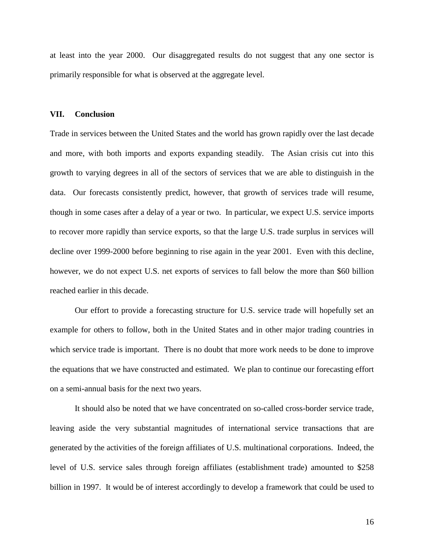at least into the year 2000. Our disaggregated results do not suggest that any one sector is primarily responsible for what is observed at the aggregate level.

#### **VII. Conclusion**

Trade in services between the United States and the world has grown rapidly over the last decade and more, with both imports and exports expanding steadily. The Asian crisis cut into this growth to varying degrees in all of the sectors of services that we are able to distinguish in the data. Our forecasts consistently predict, however, that growth of services trade will resume, though in some cases after a delay of a year or two. In particular, we expect U.S. service imports to recover more rapidly than service exports, so that the large U.S. trade surplus in services will decline over 1999-2000 before beginning to rise again in the year 2001. Even with this decline, however, we do not expect U.S. net exports of services to fall below the more than \$60 billion reached earlier in this decade.

 Our effort to provide a forecasting structure for U.S. service trade will hopefully set an example for others to follow, both in the United States and in other major trading countries in which service trade is important. There is no doubt that more work needs to be done to improve the equations that we have constructed and estimated. We plan to continue our forecasting effort on a semi-annual basis for the next two years.

 It should also be noted that we have concentrated on so-called cross-border service trade, leaving aside the very substantial magnitudes of international service transactions that are generated by the activities of the foreign affiliates of U.S. multinational corporations. Indeed, the level of U.S. service sales through foreign affiliates (establishment trade) amounted to \$258 billion in 1997. It would be of interest accordingly to develop a framework that could be used to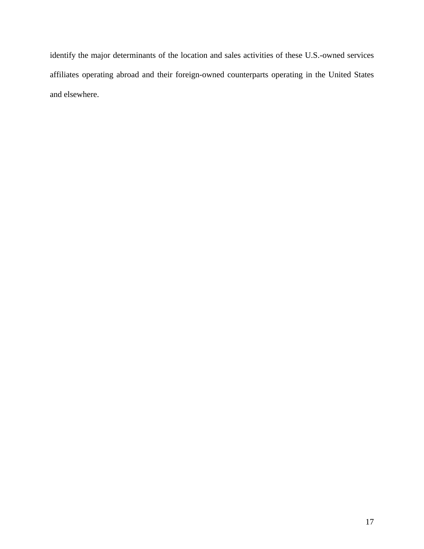identify the major determinants of the location and sales activities of these U.S.-owned services affiliates operating abroad and their foreign-owned counterparts operating in the United States and elsewhere.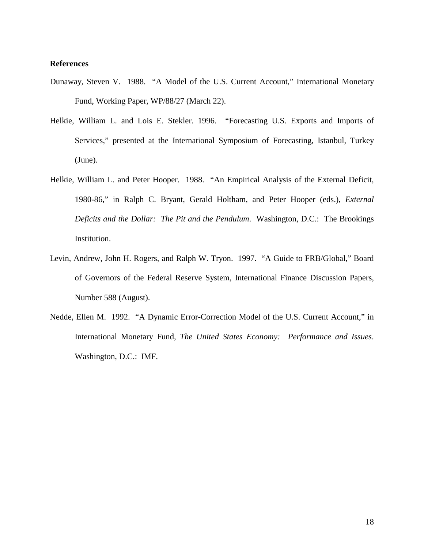#### **References**

- Dunaway, Steven V. 1988. "A Model of the U.S. Current Account," International Monetary Fund, Working Paper, WP/88/27 (March 22).
- Helkie, William L. and Lois E. Stekler. 1996. "Forecasting U.S. Exports and Imports of Services," presented at the International Symposium of Forecasting, Istanbul, Turkey (June).
- Helkie, William L. and Peter Hooper. 1988. "An Empirical Analysis of the External Deficit, 1980-86," in Ralph C. Bryant, Gerald Holtham, and Peter Hooper (eds.), *External Deficits and the Dollar: The Pit and the Pendulum*. Washington, D.C.: The Brookings Institution.
- Levin, Andrew, John H. Rogers, and Ralph W. Tryon. 1997. "A Guide to FRB/Global," Board of Governors of the Federal Reserve System, International Finance Discussion Papers, Number 588 (August).
- Nedde, Ellen M. 1992. "A Dynamic Error-Correction Model of the U.S. Current Account," in International Monetary Fund, *The United States Economy: Performance and Issues*. Washington, D.C.: IMF.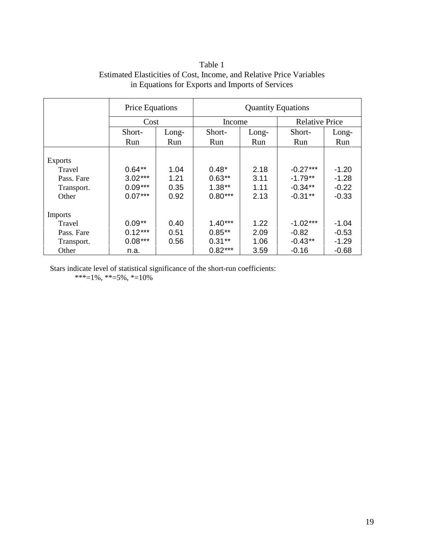|                | <b>Price Equations</b> |            | <b>Quantity Equations</b> |       |                       |         |  |
|----------------|------------------------|------------|---------------------------|-------|-----------------------|---------|--|
|                | Cost                   |            | Income                    |       | <b>Relative Price</b> |         |  |
|                | Short-                 | Long-      | Short-                    | Long- | Short-                | Long-   |  |
|                | Run                    | Run<br>Run |                           | Run   | Run                   | Run     |  |
| <b>Exports</b> |                        |            |                           |       |                       |         |  |
| Travel         | $0.64***$              | 1.04       | $0.48*$                   | 2.18  | $-0.27***$            | $-1.20$ |  |
| Pass. Fare     | $3.02***$              | 1.21       | $0.63**$                  | 3.11  | $-1.79**$             | $-1.28$ |  |
| Transport.     | $0.09***$              | 0.35       | $1.38***$                 | 1.11  | $-0.34**$             | $-0.22$ |  |
| Other          | $0.07***$              | 0.92       | $0.80***$                 | 2.13  | $-0.31**$             | $-0.33$ |  |
| <b>Imports</b> |                        |            |                           |       |                       |         |  |
| Travel         | $0.09**$               | 0.40       | $1.40***$                 | 1.22  | $-1.02***$            | $-1.04$ |  |
| Pass. Fare     | $0.12***$              | 0.51       | $0.85**$                  | 2.09  | $-0.82$               | $-0.53$ |  |
| Transport.     | $0.08***$              | 0.56       | $0.31***$                 | 1.06  | $-0.43**$             | $-1.29$ |  |
| Other          | n.a.                   |            | $0.82***$                 | 3.59  | $-0.16$               | $-0.68$ |  |

Table 1 Estimated Elasticities of Cost, Income, and Relative Price Variables in Equations for Exports and Imports of Services

Stars indicate level of statistical significance of the short-run coefficients:

\*\*\*=1%, \*\*=5%, \*=10%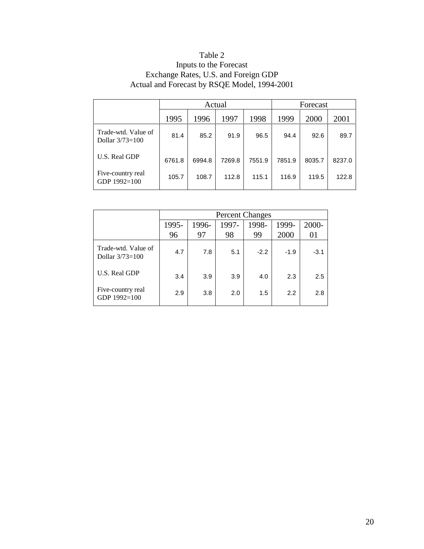| Table 2                                      |  |
|----------------------------------------------|--|
| Inputs to the Forecast                       |  |
| Exchange Rates, U.S. and Foreign GDP         |  |
| Actual and Forecast by RSQE Model, 1994-2001 |  |
|                                              |  |

|                                          |        |        | Actual | Forecast |        |        |        |
|------------------------------------------|--------|--------|--------|----------|--------|--------|--------|
|                                          | 1995   | 1996   | 1997   | 1998     | 1999   | 2000   | 2001   |
| Trade-wtd. Value of<br>Dollar $3/73=100$ | 81.4   | 85.2   | 91.9   | 96.5     | 94.4   | 92.6   | 89.7   |
| <b>U.S. Real GDP</b>                     | 6761.8 | 6994.8 | 7269.8 | 7551.9   | 7851.9 | 8035.7 | 8237.0 |
| Five-country real<br>GDP $1992=100$      | 105.7  | 108.7  | 112.8  | 115.1    | 116.9  | 119.5  | 122.8  |

|                                          | <b>Percent Changes</b> |       |       |        |        |        |  |
|------------------------------------------|------------------------|-------|-------|--------|--------|--------|--|
|                                          | 1995-                  | 1996- | 1997- | 1998-  | 1999-  | 2000-  |  |
|                                          | 96                     | 97    | 98    | 99     | 2000   | 01     |  |
| Trade-wtd. Value of<br>Dollar $3/73=100$ | 4.7                    | 7.8   | 5.1   | $-2.2$ | $-1.9$ | $-3.1$ |  |
| U.S. Real GDP                            | 3.4                    | 3.9   | 3.9   | 4.0    | 2.3    | 2.5    |  |
| Five-country real<br>GDP $1992=100$      | 2.9                    | 3.8   | 2.0   | 1.5    | 2.2    | 2.8    |  |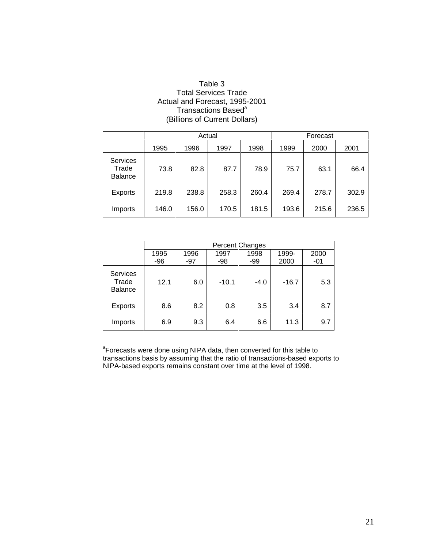#### Table 3 Total Services Trade Actual and Forecast, 1995-2001 Transactions Based<sup>a</sup> (Billions of Current Dollars)

|                                     |       |       | Actual | Forecast |       |       |       |
|-------------------------------------|-------|-------|--------|----------|-------|-------|-------|
|                                     | 1995  | 1996  | 1997   | 1998     | 1999  | 2000  | 2001  |
| Services<br>Trade<br><b>Balance</b> | 73.8  | 82.8  | 87.7   | 78.9     | 75.7  | 63.1  | 66.4  |
| Exports                             | 219.8 | 238.8 | 258.3  | 260.4    | 269.4 | 278.7 | 302.9 |
| Imports                             | 146.0 | 156.0 | 170.5  | 181.5    | 193.6 | 215.6 | 236.5 |

|                                            |      | <b>Percent Changes</b> |         |        |         |      |  |  |  |
|--------------------------------------------|------|------------------------|---------|--------|---------|------|--|--|--|
|                                            | 1995 | 1996<br>1997<br>1998   |         |        |         | 2000 |  |  |  |
|                                            | -96  | $-97$                  | $-98$   | -99    | 2000    | -01  |  |  |  |
| <b>Services</b><br>Trade<br><b>Balance</b> | 12.1 | 6.0                    | $-10.1$ | $-4.0$ | $-16.7$ | 5.3  |  |  |  |
| <b>Exports</b>                             | 8.6  | 8.2                    | 0.8     | 3.5    | 3.4     | 8.7  |  |  |  |
| Imports                                    | 6.9  | 9.3                    | 6.4     | 6.6    | 11.3    | 9.7  |  |  |  |

<sup>a</sup>Forecasts were done using NIPA data, then converted for this table to transactions basis by assuming that the ratio of transactions-based exports to NIPA-based exports remains constant over time at the level of 1998.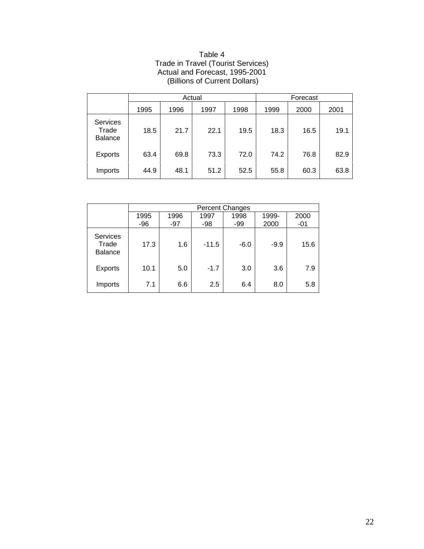### Table 4 Trade in Travel (Tourist Services) Actual and Forecast, 1995-2001 (Billions of Current Dollars)

|                                            |      |      | Actual | Forecast |      |      |      |
|--------------------------------------------|------|------|--------|----------|------|------|------|
|                                            | 1995 | 1996 | 1997   | 1998     | 1999 | 2000 | 2001 |
| <b>Services</b><br>Trade<br><b>Balance</b> | 18.5 | 21.7 | 22.1   | 19.5     | 18.3 | 16.5 | 19.1 |
| <b>Exports</b>                             | 63.4 | 69.8 | 73.3   | 72.0     | 74.2 | 76.8 | 82.9 |
| Imports                                    | 44.9 | 48.1 | 51.2   | 52.5     | 55.8 | 60.3 | 63.8 |

|                                     | <b>Percent Changes</b> |                                       |         |        |        |      |  |  |
|-------------------------------------|------------------------|---------------------------------------|---------|--------|--------|------|--|--|
|                                     | 1995                   | 1996<br>1999-<br>2000<br>1997<br>1998 |         |        |        |      |  |  |
|                                     | -96                    | $-97$                                 | $-98$   | -99    | 2000   | -01  |  |  |
| Services<br>Trade<br><b>Balance</b> | 17.3                   | 1.6                                   | $-11.5$ | $-6.0$ | $-9.9$ | 15.6 |  |  |
| Exports                             | 10.1                   | 5.0                                   | $-1.7$  | 3.0    | 3.6    | 7.9  |  |  |
| Imports                             | 7.1                    | 6.6                                   | 2.5     | 6.4    | 8.0    | 5.8  |  |  |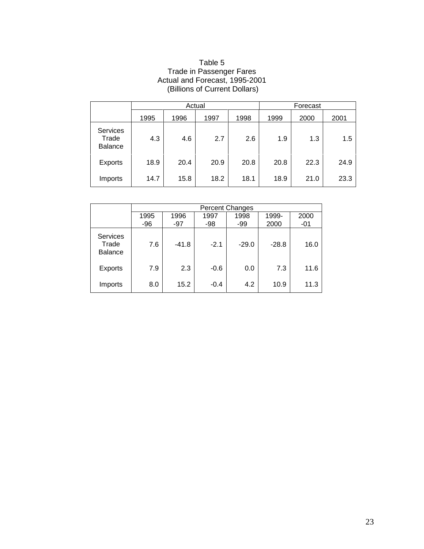| Table 5                        |
|--------------------------------|
| Trade in Passenger Fares       |
| Actual and Forecast, 1995-2001 |
| (Billions of Current Dollars)  |

|                                            |      |      | Actual | Forecast |      |      |      |
|--------------------------------------------|------|------|--------|----------|------|------|------|
|                                            | 1995 | 1996 | 1997   | 1998     | 1999 | 2000 | 2001 |
| <b>Services</b><br>Trade<br><b>Balance</b> | 4.3  | 4.6  | 2.7    | 2.6      | 1.9  | 1.3  | 1.5  |
| Exports                                    | 18.9 | 20.4 | 20.9   | 20.8     | 20.8 | 22.3 | 24.9 |
| Imports                                    | 14.7 | 15.8 | 18.2   | 18.1     | 18.9 | 21.0 | 23.3 |

|                                            | <b>Percent Changes</b> |                               |        |         |         |      |  |  |  |
|--------------------------------------------|------------------------|-------------------------------|--------|---------|---------|------|--|--|--|
|                                            | 1995                   | 1996<br>1997<br>1999-<br>1998 |        |         |         | 2000 |  |  |  |
|                                            | -96                    | $-97$                         | $-98$  | -99     | 2000    | -01  |  |  |  |
| <b>Services</b><br>Trade<br><b>Balance</b> | 7.6                    | $-41.8$                       | $-2.1$ | $-29.0$ | $-28.8$ | 16.0 |  |  |  |
| <b>Exports</b>                             | 7.9                    | 2.3                           | $-0.6$ | 0.0     | 7.3     | 11.6 |  |  |  |
| Imports                                    | 8.0                    | 15.2                          | $-0.4$ | 4.2     | 10.9    | 11.3 |  |  |  |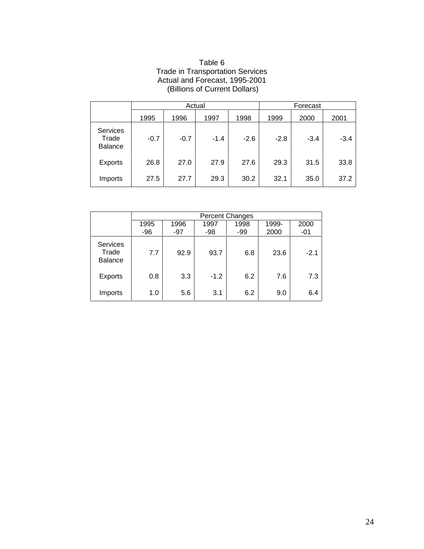| Table 6                                 |
|-----------------------------------------|
| <b>Trade in Transportation Services</b> |
| Actual and Forecast, 1995-2001          |
| (Billions of Current Dollars)           |

|                                            |        |        | Actual | Forecast |        |        |        |
|--------------------------------------------|--------|--------|--------|----------|--------|--------|--------|
|                                            | 1995   | 1996   | 1997   | 1998     | 1999   | 2000   | 2001   |
| <b>Services</b><br>Trade<br><b>Balance</b> | $-0.7$ | $-0.7$ | $-1.4$ | $-2.6$   | $-2.8$ | $-3.4$ | $-3.4$ |
| Exports                                    | 26.8   | 27.0   | 27.9   | 27.6     | 29.3   | 31.5   | 33.8   |
| Imports                                    | 27.5   | 27.7   | 29.3   | 30.2     | 32.1   | 35.0   | 37.2   |

|                                            | <b>Percent Changes</b> |       |        |      |       |        |
|--------------------------------------------|------------------------|-------|--------|------|-------|--------|
|                                            | 1995                   | 1996  | 1997   | 1998 | 1999- | 2000   |
|                                            | $-96$                  | $-97$ | $-98$  | -99  | 2000  | -01    |
| <b>Services</b><br>Trade<br><b>Balance</b> | 7.7                    | 92.9  | 93.7   | 6.8  | 23.6  | $-2.1$ |
| <b>Exports</b>                             | 0.8                    | 3.3   | $-1.2$ | 6.2  | 7.6   | 7.3    |
| Imports                                    | 1.0                    | 5.6   | 3.1    | 6.2  | 9.0   | 6.4    |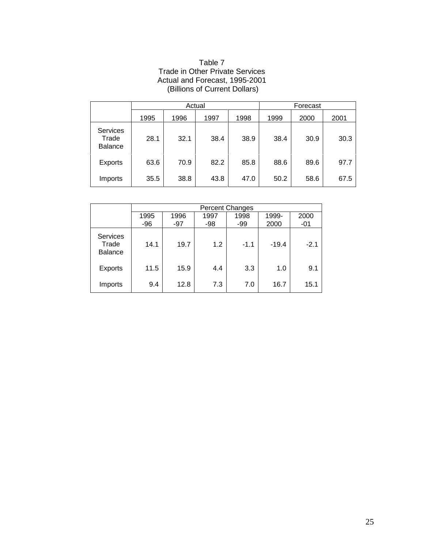#### Table 7 Trade in Other Private Services Actual and Forecast, 1995-2001 (Billions of Current Dollars)

|                                            |      | Actual |      |      | Forecast |      |      |
|--------------------------------------------|------|--------|------|------|----------|------|------|
|                                            | 1995 | 1996   | 1997 | 1998 | 1999     | 2000 | 2001 |
| <b>Services</b><br>Trade<br><b>Balance</b> | 28.1 | 32.1   | 38.4 | 38.9 | 38.4     | 30.9 | 30.3 |
| <b>Exports</b>                             | 63.6 | 70.9   | 82.2 | 85.8 | 88.6     | 89.6 | 97.7 |
| Imports                                    | 35.5 | 38.8   | 43.8 | 47.0 | 50.2     | 58.6 | 67.5 |

|                                            | <b>Percent Changes</b> |       |       |        |         |        |
|--------------------------------------------|------------------------|-------|-------|--------|---------|--------|
|                                            | 1995                   | 1996  | 1997  | 1998   | 1999-   | 2000   |
|                                            | $-96$                  | $-97$ | $-98$ | -99    | 2000    | -01    |
| <b>Services</b><br>Trade<br><b>Balance</b> | 14.1                   | 19.7  | 1.2   | $-1.1$ | $-19.4$ | $-2.1$ |
| <b>Exports</b>                             | 11.5                   | 15.9  | 4.4   | 3.3    | 1.0     | 9.1    |
| Imports                                    | 9.4                    | 12.8  | 7.3   | 7.0    | 16.7    | 15.1   |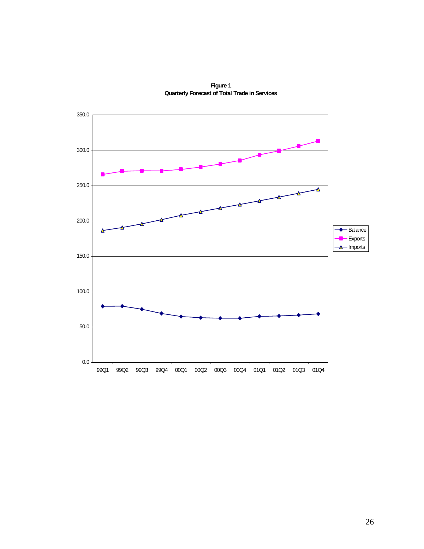

**Figure 1 Quarterly Forecast of Total Trade in Services**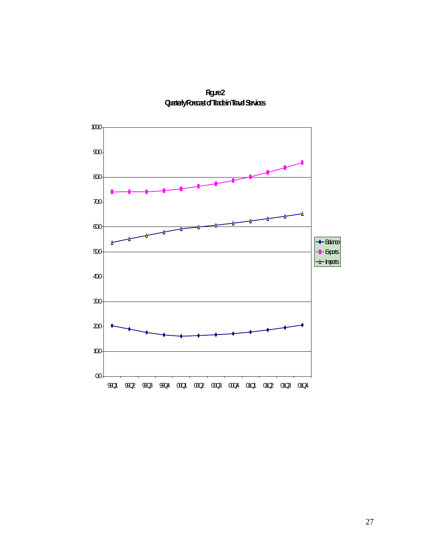

**Figure 2 Quarterly Forecast of Trade in Travel Services**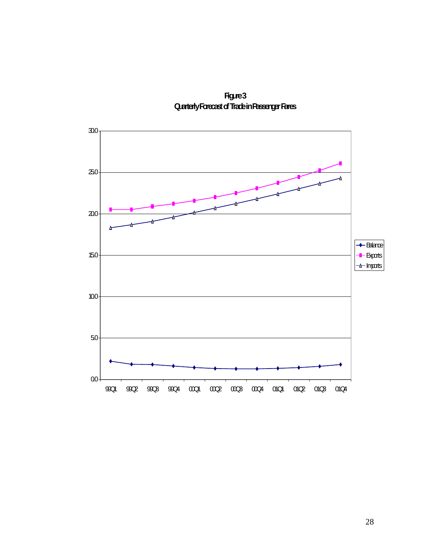**Figure 3 Quarterly Forecast of Trade in Passenger Fares**

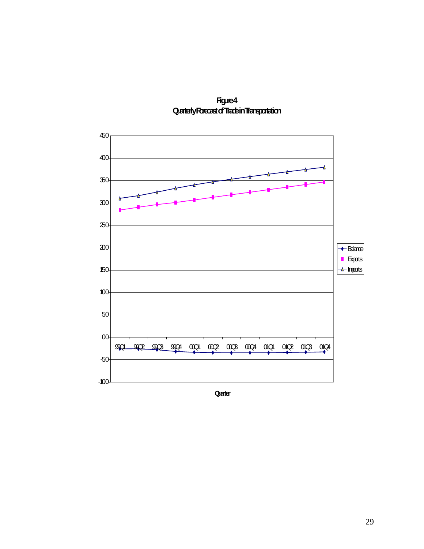

**Figure 4 Quarterly Forecast of Trade in Transportation**

**Quarter**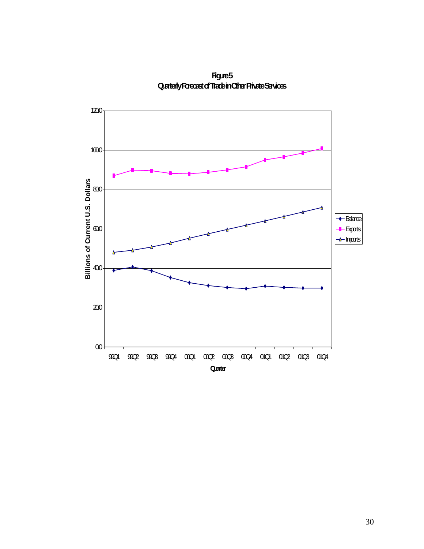

**Figure 5 Quarterly Forecast of Trade in Other Private Services**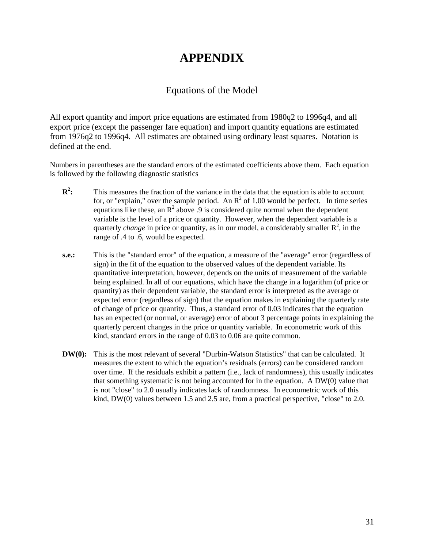# **APPENDIX**

### Equations of the Model

All export quantity and import price equations are estimated from 1980q2 to 1996q4, and all export price (except the passenger fare equation) and import quantity equations are estimated from 1976q2 to 1996q4. All estimates are obtained using ordinary least squares. Notation is defined at the end.

Numbers in parentheses are the standard errors of the estimated coefficients above them. Each equation is followed by the following diagnostic statistics

- $\mathbb{R}^2$ : **:** This measures the fraction of the variance in the data that the equation is able to account for, or "explain," over the sample period. An  $R^2$  of 1.00 would be perfect. In time series equations like these, an  $\mathbb{R}^2$  above .9 is considered quite normal when the dependent variable is the level of a price or quantity. However, when the dependent variable is a quarterly *change* in price or quantity, as in our model, a considerably smaller R<sup>2</sup>, in the range of .4 to .6, would be expected.
- **s.e.:** This is the "standard error" of the equation, a measure of the "average" error (regardless of sign) in the fit of the equation to the observed values of the dependent variable. Its quantitative interpretation, however, depends on the units of measurement of the variable being explained. In all of our equations, which have the change in a logarithm (of price or quantity) as their dependent variable, the standard error is interpreted as the average or expected error (regardless of sign) that the equation makes in explaining the quarterly rate of change of price or quantity. Thus, a standard error of 0.03 indicates that the equation has an expected (or normal, or average) error of about 3 percentage points in explaining the quarterly percent changes in the price or quantity variable. In econometric work of this kind, standard errors in the range of 0.03 to 0.06 are quite common.
- **DW(0):** This is the most relevant of several "Durbin-Watson Statistics" that can be calculated. It measures the extent to which the equation's residuals (errors) can be considered random over time. If the residuals exhibit a pattern (i.e., lack of randomness), this usually indicates that something systematic is not being accounted for in the equation. A DW(0) value that is not "close" to 2.0 usually indicates lack of randomness. In econometric work of this kind, DW(0) values between 1.5 and 2.5 are, from a practical perspective, "close" to 2.0.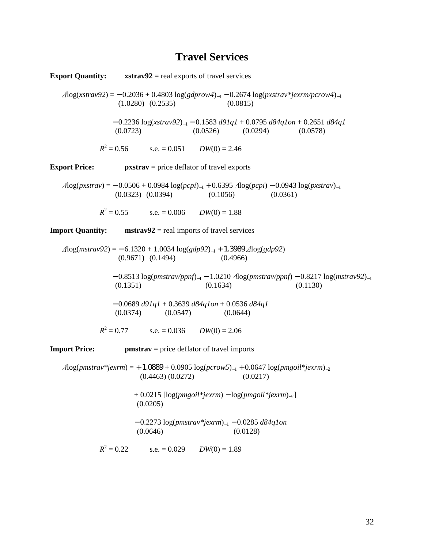### **Travel Services**

**Export Quantity:** xstrav92 = real exports of travel services log(*xstrav92*) = − 0.2036 + 0.4803 log(*gdprow4*)−<sup>1</sup> − 0.2674 log(*pxstrav\*jexrm/pcrow4*)−1  $(1.0280)$   $(0.2535)$   $(0.0815)$ − 0.2236 log(*xstrav92*)−<sup>1</sup> − 0.1583 *d91q1* + 0.0795 *d84q1on* + 0.2651 *d84q1*  $(0.0723)$   $(0.0526)$   $(0.0294)$   $(0.0578)$  $R^2 = 0.56$  $s.e. = 0.051$  *DW(0)* = 2.46 **Export Price:** pxstrav = price deflator of travel exports log(*pxstrav*) = − 0.0506 + 0.0984 log(*pcpi*)−<sup>1</sup> + 0.6395 log(*pcpi*) − 0.0943 log(*pxstrav*)−<sup>1</sup>  $(0.0323)$   $(0.0394)$   $(0.1056)$   $(0.0361)$  $R^2 = 0.55$  $s.e. = 0.006$  *DW(0)* = 1.88 **Import Quantity:** mstrav $92$  = real imports of travel services log(*mstrav92*) = − 6.1320 + 1.0034 log(*gdp92*)−<sup>1</sup> + 1.3989 log(*gdp92*) (0.9671) (0.1494) (0.4966) − 0.8513 log(*pmstrav/ppnf*)−<sup>1</sup> − 1.0210 log(*pmstrav/ppnf*) − 0.8217 log(*mstrav92*)−<sup>1</sup>  $(0.1351)$   $(0.1634)$   $(0.1130)$ − 0.0689 *d91q1* + 0.3639 *d84q1on* + 0.0536 *d84q1*  $(0.0374)$   $(0.0547)$   $(0.0644)$  $R^2 = 0.77$  $s.e. = 0.036$  *DW(0)* = 2.06 **Import Price:** pmstrav = price deflator of travel imports log(*pmstrav\*jexrm*) = + 1.0889 + 0.0905 log(*pcrow5*)−<sup>1</sup> + 0.0647 log(*pmgoil\*jexrm*)−2  $(0.4463) (0.0272)$   $(0.0217)$  + 0.0215 [log(*pmgoil\*jexrm*) − log(*pmgoil\*jexrm*)−2] (0.0205) − 0.2273 log(*pmstrav\*jexrm*)−<sup>1</sup> − 0.0285 *d84q1on*  (0.0646) (0.0128)  $R^2 = 0.22$  $s.e. = 0.029$  *DW(0)* = 1.89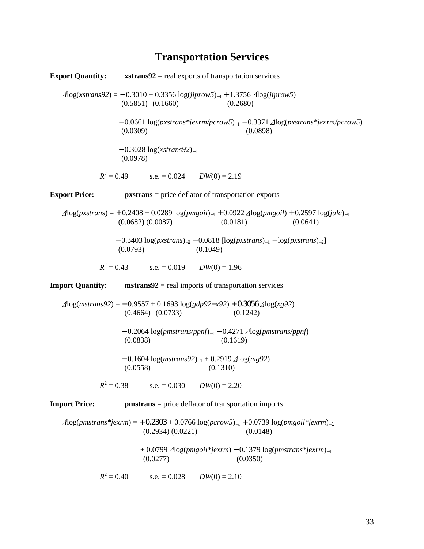### **Transportation Services**

**Export Quantity:** xstrans92 = real exports of transportation services log(*xstrans92*) = − 0.3010 + 0.3356 log(*jiprow5*)−<sup>1</sup> + 1.3756 log(*jiprow5*)  $(0.5851)$   $(0.1660)$   $(0.2680)$ − 0.0661 log(*pxstrans\*jexrm/pcrow5*)−<sup>1</sup> − 0.3371 log(*pxstrans\*jexrm/pcrow5*) (0.0309) (0.0898) − 0.3028 log(*xstrans92*)−<sup>1</sup> (0.0978)  $R^2 = 0.49$  $s.e. = 0.024$  *DW(0)* = 2.19 **Export Price:** pxstrans = price deflator of transportation exports log(*pxstrans*) = + 0.2408 + 0.0289 log(*pmgoil*)−<sup>1</sup> + 0.0922 log(*pmgoil*) + 0.2597 log(*julc*)−<sup>1</sup>  $(0.0682) (0.0087)$   $(0.0181)$   $(0.0641)$ − 0.3403 log(*pxstrans*)−<sup>2</sup> − 0.0818 [log(*pxstrans*)−<sup>1</sup> − log(*pxstrans*)−2]  $(0.0793)$   $(0.1049)$  $R^2 = 0.43$  $s.e. = 0.019$  *DW(0)* = 1.96 **Import Quantity:** mstrans92 = real imports of transportation services log(*mstrans92*) = − 0.9557 + 0.1693 log(*gdp92*−*x92*) + 0.3056 log(*xg92*) (0.4664) (0.0733) (0.1242) − 0.2064 log(*pmstrans/ppnf*)−<sup>1</sup> − 0.4271 log(*pmstrans/ppnf*) (0.0838) (0.1619) − 0.1604 log(*mstrans92*)−1 + 0.2919 log(*mg92*) (0.0558) (0.1310)  $R^2 = 0.38$  $s.e. = 0.030$  *DW*(0) = 2.20 **Import Price:** pmstrans = price deflator of transportation imports log(*pmstrans\*jexrm*) = + 0.2303 + 0.0766 log(*pcrow5*)−<sup>1</sup> + 0.0739 log(*pmgoil\*jexrm*)−1  $(0.2934) (0.0221)$  (0.0148) + 0.0799 log(*pmgoil\*jexrm*) − 0.1379 log(*pmstrans\*jexrm*)−<sup>1</sup>  $(0.0277)$   $(0.0350)$  $R^2 = 0.40$  $s.e. = 0.028$  *DW(0)* = 2.10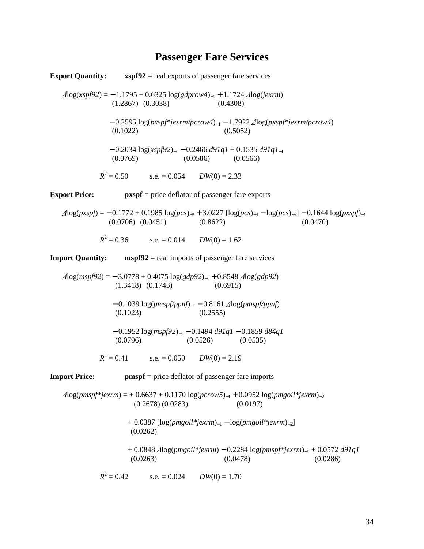### **Passenger Fare Services**

**Export Quantity:** xspf92 = real exports of passenger fare services log(*xspf92*) = − 1.1795 + 0.6325 log(*gdprow4*)−<sup>1</sup> + 1.1724 log(*jexrm*) (1.2867) (0.3038) (0.4308) − 0.2595 log(*pxspf\*jexrm/pcrow4*)−<sup>1</sup> − 1.7922 log(*pxspf\*jexrm/pcrow4*)  $(0.1022)$   $(0.5052)$ − 0.2034 log(*xspf92*)−<sup>1</sup> − 0.2466 *d91q1* + 0.1535 *d91q1*−1  $(0.0769)$   $(0.0586)$   $(0.0566)$  $R^2 = 0.50$  $s.e. = 0.054$  *DW(0)* = 2.33 **Export Price: pxspf** = price deflator of passenger fare exports log(*pxspf*) = − 0.1772 + 0.1985 log(*pcs*)−<sup>2</sup> + 3.0227 [log(*pcs*)−1 − log(*pcs*)−2] − 0.1644 log(*pxspf*)−<sup>1</sup>  $(0.0706)$   $(0.0451)$   $(0.8622)$   $(0.0470)$  $R^2 = 0.36$  $s.e. = 0.014$  *DW(0)* = 1.62 **Import Quantity:** mspf92 = real imports of passenger fare services log(*mspf92*) = − 3.0778 + 0.4075 log(*gdp92*)−<sup>1</sup> + 0.8548 log(*gdp92*) (1.3418) (0.1743) (0.6915) − 0.1039 log(*pmspf/ppnf*)−<sup>1</sup> − 0.8161 log(*pmspf/ppnf*)  $(0.1023)$   $(0.2555)$ − 0.1952 log(*mspf92*)−<sup>1</sup> − 0.1494 *d91q1* − 0.1859 *d84q1*  $(0.0796)$   $(0.0526)$   $(0.0535)$  $R^2 = 0.41$  $s.e. = 0.050$  *DW(0)* = 2.19 **Import Price: pmspf** = price deflator of passenger fare imports log(*pmspf\*jexrm*) = + 0.6637 + 0.1170 log(*pcrow5*)−<sup>1</sup> + 0.0952 log(*pmgoil\*jexrm*)−2  $(0.2678) (0.0283)$  (0.0197) + 0.0387 [log(*pmgoil\*jexrm*)−<sup>1</sup> − log(*pmgoil\*jexrm*)−2] (0.0262) + 0.0848 log(*pmgoil\*jexrm*) − 0.2284 log(*pmspf\*jexrm*)−1 + 0.0572 *d91q1*  $(0.0263)$   $(0.0478)$   $(0.0286)$  $R^2 = 0.42$  $s.e. = 0.024$  *DW(0)* = 1.70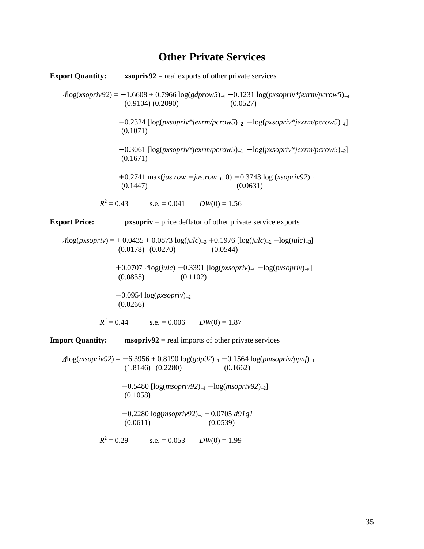# **Other Private Services**

|                         | <b>Export Quantity:</b> xsopriv92 = real exports of other private services                                                                                               |
|-------------------------|--------------------------------------------------------------------------------------------------------------------------------------------------------------------------|
|                         | $\Delta$ log(xsopriv92) = -1.6608 + 0.7966 log(gdprow5) <sub>-1</sub> - 0.1231 log(pxsopriv*jexrm/pcrow5) <sub>-4</sub><br>(0.9104) (0.2090)<br>(0.0527)                 |
|                         | $-0.2324$ [log(pxsopriv*jexrm/pcrow5) <sub>-2</sub> $-\log(px$ sopriv*jexrm/pcrow5) <sub>-4</sub> ]<br>(0.1071)                                                          |
|                         | $-0.3061$ [log(pxsopriv*jexrm/pcrow5) <sub>-1</sub> $-\log$ (pxsopriv*jexrm/pcrow5) <sub>-2</sub> ]<br>(0.1671)                                                          |
|                         | $+0.2741$ max(jus.row - jus.row <sub>-1</sub> , 0) - 0.3743 log (xsopriv92) <sub>-1</sub><br>(0.1447)<br>(0.0631)                                                        |
|                         | $R^2 = 0.43$ s.e. = 0.041 DW(0) = 1.56                                                                                                                                   |
| <b>Export Price:</b>    | $pxsopriv = price deflator of other private service exports$                                                                                                             |
|                         | $\triangle$ log(pxsopriv) = + 0.0435 + 0.0873 log(julc) <sub>-3</sub> + 0.1976 [log(julc) <sub>-1</sub> - log(julc) <sub>-3</sub> ]<br>$(0.0178)$ $(0.0270)$<br>(0.0544) |
|                         | + $0.0707 \triangle 1$ log(julc) – 0.3391 [log(pxsopriv) <sub>-1</sub> – log(pxsopriv) <sub>-2</sub> ]<br>(0.0835)<br>(0.1102)                                           |
|                         | $-0.0954 \log(pxsopriv)_{-2}$<br>(0.0266)                                                                                                                                |
|                         | $R^2 = 0.44$ s.e. = 0.006 DW(0) = 1.87                                                                                                                                   |
| <b>Import Quantity:</b> | $\text{msopriv92} = \text{real}$ imports of other private services                                                                                                       |
|                         | $\triangle$ log(msopriv92) = - 6.3956 + 0.8190 log(gdp92) <sub>-1</sub> - 0.1564 log(pmsopriv/ppnf) <sub>-1</sub><br>$(1.8146)$ $(0.2280)$<br>(0.1662)                   |
|                         | $-0.5480$ [log( <i>msopriv92</i> ) <sub>-1</sub> - log( <i>msopriv92</i> ) <sub>-2</sub> ]<br>(0.1058)                                                                   |
|                         | $-0.2280 \log(msopriv92)_{-2} + 0.0705 d91q1$<br>(0.0611)<br>(0.0539)                                                                                                    |
|                         | $R^2 = 0.29$<br>s.e. $= 0.053$<br>$DW(0) = 1.99$                                                                                                                         |
|                         |                                                                                                                                                                          |
|                         |                                                                                                                                                                          |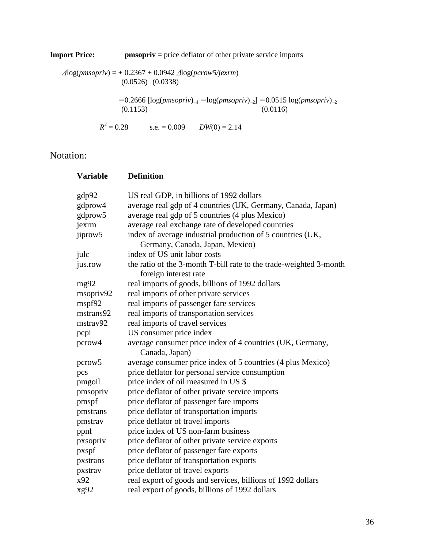**Import Price: pmsopriv** = price deflator of other private service imports

$$
\Delta \log(pmsopriv) = + 0.2367 + 0.0942 \Delta \log(pcrow5/jexrm)
$$
  
(0.0526) (0.0338)  

$$
- 0.2666 [\log(pmsopriv)_{-1} - \log(pmsopriv)_{-2}] - 0.0515 \log(pmsopriv)_{-2}
$$
  
(0.1153)  
(0.0116)  

$$
R^2 = 0.28
$$
 s.e. = 0.009 
$$
DW(0) = 2.14
$$

Notation:

| <b>Variable</b>     | <b>Definition</b>                                                                           |
|---------------------|---------------------------------------------------------------------------------------------|
| gdp92               | US real GDP, in billions of 1992 dollars                                                    |
| gdprow4             | average real gdp of 4 countries (UK, Germany, Canada, Japan)                                |
| gdprow5             | average real gdp of 5 countries (4 plus Mexico)                                             |
| jexrm               | average real exchange rate of developed countries                                           |
| jiprow <sub>5</sub> | index of average industrial production of 5 countries (UK,                                  |
|                     | Germany, Canada, Japan, Mexico)                                                             |
| julc                | index of US unit labor costs                                                                |
| jus.row             | the ratio of the 3-month T-bill rate to the trade-weighted 3-month<br>foreign interest rate |
| mg92                | real imports of goods, billions of 1992 dollars                                             |
| msopriv92           | real imports of other private services                                                      |
| mspf92              | real imports of passenger fare services                                                     |
| mstrans92           | real imports of transportation services                                                     |
| mstrav92            | real imports of travel services                                                             |
| pcpi                | US consumer price index                                                                     |
| pcrow4              | average consumer price index of 4 countries (UK, Germany,                                   |
|                     | Canada, Japan)                                                                              |
| pcrow5              | average consumer price index of 5 countries (4 plus Mexico)                                 |
| pcs                 | price deflator for personal service consumption                                             |
| pmgoil              | price index of oil measured in US \$                                                        |
| pmsopriv            | price deflator of other private service imports                                             |
| pmspf               | price deflator of passenger fare imports                                                    |
| pmstrans            | price deflator of transportation imports                                                    |
| pmstrav             | price deflator of travel imports                                                            |
| ppnf                | price index of US non-farm business                                                         |
| pxsopriv            | price deflator of other private service exports                                             |
| pxspf               | price deflator of passenger fare exports                                                    |
| pxstrans            | price deflator of transportation exports                                                    |
| pxstrav             | price deflator of travel exports                                                            |
| x92                 | real export of goods and services, billions of 1992 dollars                                 |
| xg92                | real export of goods, billions of 1992 dollars                                              |